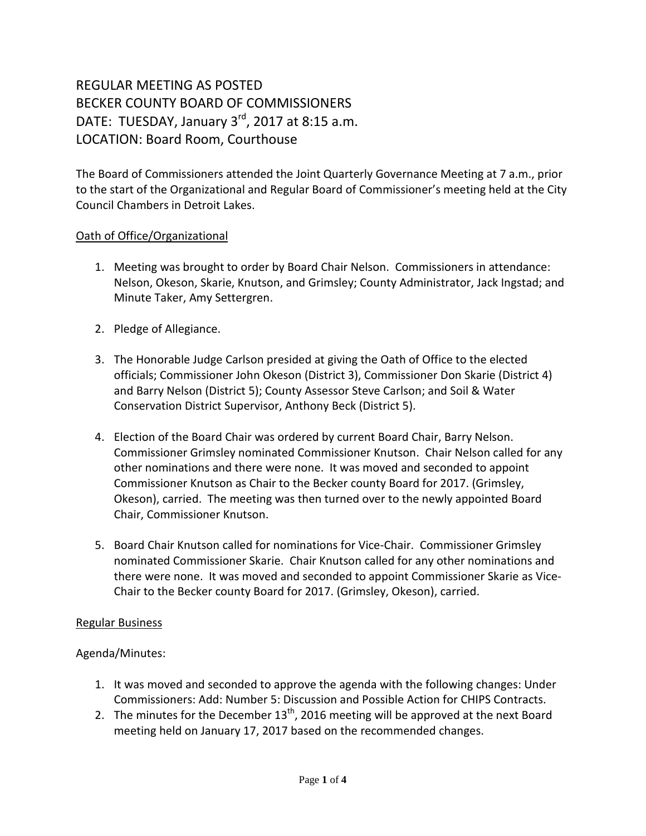# REGULAR MEETING AS POSTED BECKER COUNTY BOARD OF COMMISSIONERS DATE: TUESDAY, January  $3<sup>rd</sup>$ , 2017 at 8:15 a.m. LOCATION: Board Room, Courthouse

The Board of Commissioners attended the Joint Quarterly Governance Meeting at 7 a.m., prior to the start of the Organizational and Regular Board of Commissioner's meeting held at the City Council Chambers in Detroit Lakes.

#### Oath of Office/Organizational

- 1. Meeting was brought to order by Board Chair Nelson. Commissioners in attendance: Nelson, Okeson, Skarie, Knutson, and Grimsley; County Administrator, Jack Ingstad; and Minute Taker, Amy Settergren.
- 2. Pledge of Allegiance.
- 3. The Honorable Judge Carlson presided at giving the Oath of Office to the elected officials; Commissioner John Okeson (District 3), Commissioner Don Skarie (District 4) and Barry Nelson (District 5); County Assessor Steve Carlson; and Soil & Water Conservation District Supervisor, Anthony Beck (District 5).
- 4. Election of the Board Chair was ordered by current Board Chair, Barry Nelson. Commissioner Grimsley nominated Commissioner Knutson. Chair Nelson called for any other nominations and there were none. It was moved and seconded to appoint Commissioner Knutson as Chair to the Becker county Board for 2017. (Grimsley, Okeson), carried. The meeting was then turned over to the newly appointed Board Chair, Commissioner Knutson.
- 5. Board Chair Knutson called for nominations for Vice-Chair. Commissioner Grimsley nominated Commissioner Skarie. Chair Knutson called for any other nominations and there were none. It was moved and seconded to appoint Commissioner Skarie as Vice-Chair to the Becker county Board for 2017. (Grimsley, Okeson), carried.

#### Regular Business

# Agenda/Minutes:

- 1. It was moved and seconded to approve the agenda with the following changes: Under Commissioners: Add: Number 5: Discussion and Possible Action for CHIPS Contracts.
- 2. The minutes for the December  $13<sup>th</sup>$ , 2016 meeting will be approved at the next Board meeting held on January 17, 2017 based on the recommended changes.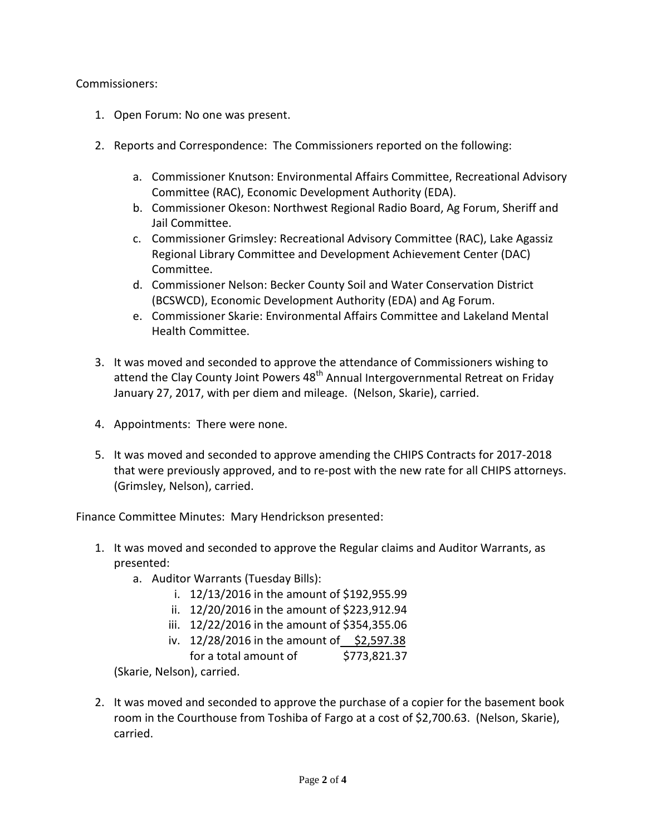#### Commissioners:

- 1. Open Forum: No one was present.
- 2. Reports and Correspondence: The Commissioners reported on the following:
	- a. Commissioner Knutson: Environmental Affairs Committee, Recreational Advisory Committee (RAC), Economic Development Authority (EDA).
	- b. Commissioner Okeson: Northwest Regional Radio Board, Ag Forum, Sheriff and Jail Committee.
	- c. Commissioner Grimsley: Recreational Advisory Committee (RAC), Lake Agassiz Regional Library Committee and Development Achievement Center (DAC) Committee.
	- d. Commissioner Nelson: Becker County Soil and Water Conservation District (BCSWCD), Economic Development Authority (EDA) and Ag Forum.
	- e. Commissioner Skarie: Environmental Affairs Committee and Lakeland Mental Health Committee.
- 3. It was moved and seconded to approve the attendance of Commissioners wishing to attend the Clay County Joint Powers  $48<sup>th</sup>$  Annual Intergovernmental Retreat on Friday January 27, 2017, with per diem and mileage. (Nelson, Skarie), carried.
- 4. Appointments: There were none.
- 5. It was moved and seconded to approve amending the CHIPS Contracts for 2017-2018 that were previously approved, and to re-post with the new rate for all CHIPS attorneys. (Grimsley, Nelson), carried.

Finance Committee Minutes: Mary Hendrickson presented:

- 1. It was moved and seconded to approve the Regular claims and Auditor Warrants, as presented:
	- a. Auditor Warrants (Tuesday Bills):
		- i. 12/13/2016 in the amount of \$192,955.99
		- ii. 12/20/2016 in the amount of \$223,912.94
		- iii. 12/22/2016 in the amount of \$354,355.06
		- iv.  $12/28/2016$  in the amount of \$2,597.38
		- for a total amount of \$773,821.37

(Skarie, Nelson), carried.

2. It was moved and seconded to approve the purchase of a copier for the basement book room in the Courthouse from Toshiba of Fargo at a cost of \$2,700.63. (Nelson, Skarie), carried.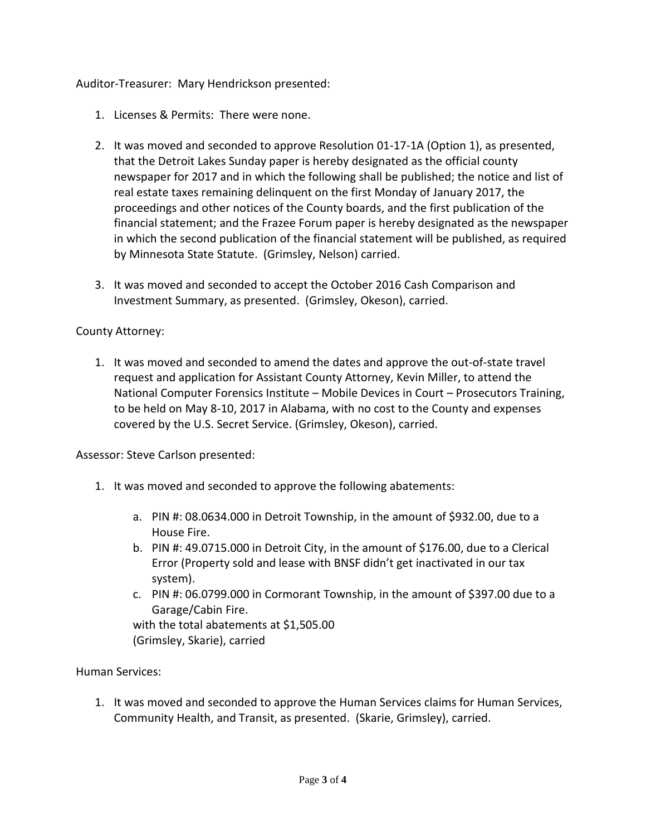Auditor-Treasurer: Mary Hendrickson presented:

- 1. Licenses & Permits: There were none.
- 2. It was moved and seconded to approve Resolution 01-17-1A (Option 1), as presented, that the Detroit Lakes Sunday paper is hereby designated as the official county newspaper for 2017 and in which the following shall be published; the notice and list of real estate taxes remaining delinquent on the first Monday of January 2017, the proceedings and other notices of the County boards, and the first publication of the financial statement; and the Frazee Forum paper is hereby designated as the newspaper in which the second publication of the financial statement will be published, as required by Minnesota State Statute. (Grimsley, Nelson) carried.
- 3. It was moved and seconded to accept the October 2016 Cash Comparison and Investment Summary, as presented. (Grimsley, Okeson), carried.

# County Attorney:

1. It was moved and seconded to amend the dates and approve the out-of-state travel request and application for Assistant County Attorney, Kevin Miller, to attend the National Computer Forensics Institute – Mobile Devices in Court – Prosecutors Training, to be held on May 8-10, 2017 in Alabama, with no cost to the County and expenses covered by the U.S. Secret Service. (Grimsley, Okeson), carried.

Assessor: Steve Carlson presented:

- 1. It was moved and seconded to approve the following abatements:
	- a. PIN #: 08.0634.000 in Detroit Township, in the amount of \$932.00, due to a House Fire.
	- b. PIN #: 49.0715.000 in Detroit City, in the amount of \$176.00, due to a Clerical Error (Property sold and lease with BNSF didn't get inactivated in our tax system).
	- c. PIN #: 06.0799.000 in Cormorant Township, in the amount of \$397.00 due to a Garage/Cabin Fire.

with the total abatements at \$1,505.00 (Grimsley, Skarie), carried

# Human Services:

1. It was moved and seconded to approve the Human Services claims for Human Services, Community Health, and Transit, as presented. (Skarie, Grimsley), carried.